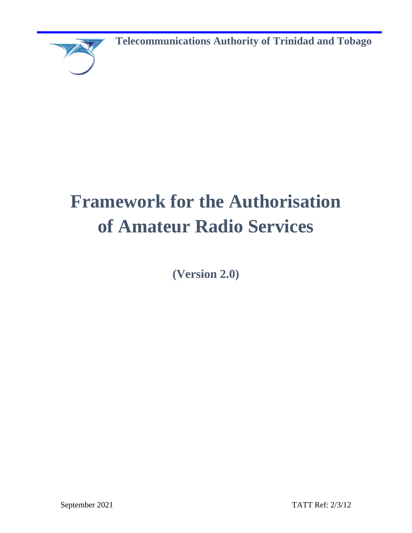

**Telecommunications Authority of Trinidad and Tobago**

# **Framework for the Authorisation of Amateur Radio Services**

**(Version 2.0)**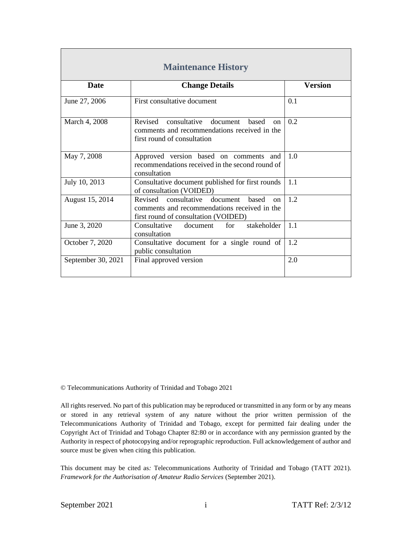| <b>Maintenance History</b> |                                                                                                                                            |                |
|----------------------------|--------------------------------------------------------------------------------------------------------------------------------------------|----------------|
| <b>Date</b>                | <b>Change Details</b>                                                                                                                      | <b>Version</b> |
| June 27, 2006              | First consultative document                                                                                                                | 0.1            |
| March 4, 2008              | Revised consultative document based<br>$\alpha$<br>comments and recommendations received in the<br>first round of consultation             | 0.2            |
| May 7, 2008                | Approved version based on comments and<br>recommendations received in the second round of<br>consultation                                  | 1.0            |
| July 10, 2013              | Consultative document published for first rounds<br>of consultation (VOIDED)                                                               | 1.1            |
| August 15, 2014            | Revised consultative document<br>hased<br>$\alpha$<br>comments and recommendations received in the<br>first round of consultation (VOIDED) | 1.2            |
| June 3, 2020               | stakeholder<br>Consultative<br>document<br>for<br>consultation                                                                             | 1.1            |
| October 7, 2020            | Consultative document for a single round of<br>public consultation                                                                         | 1.2            |
| September 30, 2021         | Final approved version                                                                                                                     | 2.0            |

© Telecommunications Authority of Trinidad and Tobago 2021

All rights reserved. No part of this publication may be reproduced or transmitted in any form or by any means or stored in any retrieval system of any nature without the prior written permission of the Telecommunications Authority of Trinidad and Tobago, except for permitted fair dealing under the Copyright Act of Trinidad and Tobago Chapter 82:80 or in accordance with any permission granted by the Authority in respect of photocopying and/or reprographic reproduction. Full acknowledgement of author and source must be given when citing this publication.

This document may be cited as*:* Telecommunications Authority of Trinidad and Tobago (TATT 2021). *Framework for the Authorisation of Amateur Radio Services* (September 2021).

г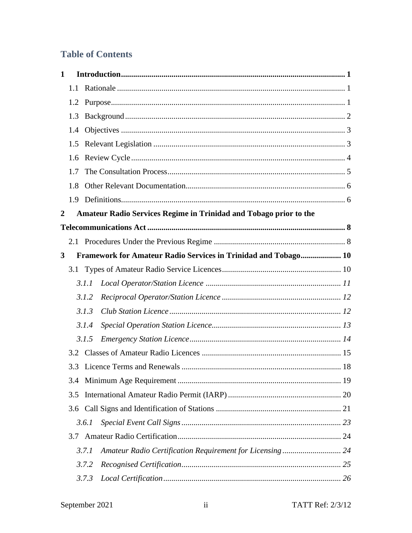# **Table of Contents**

| $\mathbf{1}$     |     |                                                                   |    |
|------------------|-----|-------------------------------------------------------------------|----|
|                  | 1.1 |                                                                   |    |
|                  |     |                                                                   |    |
|                  | 1.3 |                                                                   |    |
|                  | 1.4 |                                                                   |    |
|                  | 1.5 |                                                                   |    |
|                  | 1.6 |                                                                   |    |
|                  | 1.7 |                                                                   |    |
|                  | 1.8 |                                                                   |    |
|                  | 1.9 |                                                                   |    |
| $\boldsymbol{2}$ |     | Amateur Radio Services Regime in Trinidad and Tobago prior to the |    |
|                  |     |                                                                   |    |
|                  |     |                                                                   |    |
| 3                |     | Framework for Amateur Radio Services in Trinidad and Tobago 10    |    |
|                  |     |                                                                   |    |
|                  |     | 3.1.1                                                             |    |
|                  |     | 3.1.2                                                             |    |
|                  |     | 3.1.3                                                             |    |
|                  |     | 3.1.4                                                             |    |
|                  |     | 3.1.5                                                             |    |
|                  |     |                                                                   |    |
|                  |     |                                                                   |    |
|                  |     |                                                                   |    |
|                  | 3.5 |                                                                   |    |
|                  |     |                                                                   |    |
|                  |     | 3.6.1                                                             |    |
|                  | 3.7 |                                                                   |    |
|                  |     | Amateur Radio Certification Requirement for Licensing 24<br>3.7.1 |    |
|                  |     | 3.7.2                                                             |    |
|                  |     | 3.7.3                                                             | 26 |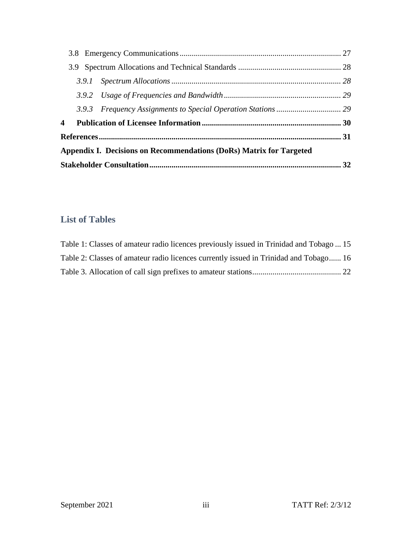| 4 |  |                                                                     |  |
|---|--|---------------------------------------------------------------------|--|
|   |  |                                                                     |  |
|   |  | Appendix I. Decisions on Recommendations (DoRs) Matrix for Targeted |  |
|   |  |                                                                     |  |

# **List of Tables**

| Table 1: Classes of amateur radio licences previously issued in Trinidad and Tobago  15 |  |
|-----------------------------------------------------------------------------------------|--|
| Table 2: Classes of amateur radio licences currently issued in Trinidad and Tobago 16   |  |
|                                                                                         |  |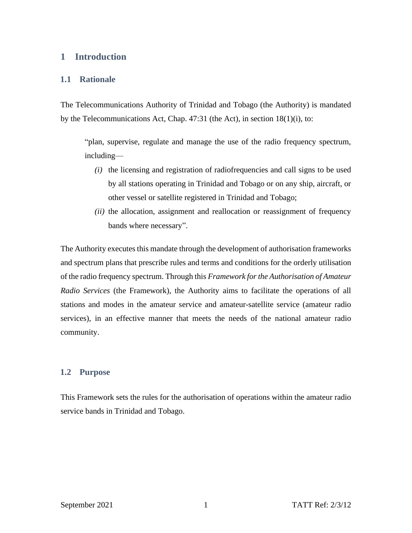# <span id="page-4-0"></span>**1 Introduction**

#### <span id="page-4-1"></span>**1.1 Rationale**

The Telecommunications Authority of Trinidad and Tobago (the Authority) is mandated by the Telecommunications Act, Chap. 47:31 (the Act), in section 18(1)(i), to:

"plan, supervise, regulate and manage the use of the radio frequency spectrum, including—

- *(i)* the licensing and registration of radiofrequencies and call signs to be used by all stations operating in Trinidad and Tobago or on any ship, aircraft, or other vessel or satellite registered in Trinidad and Tobago;
- *(ii)* the allocation, assignment and reallocation or reassignment of frequency bands where necessary".

The Authority executes this mandate through the development of authorisation frameworks and spectrum plans that prescribe rules and terms and conditions for the orderly utilisation of the radio frequency spectrum. Through this *Framework for the Authorisation of Amateur Radio Services* (the Framework), the Authority aims to facilitate the operations of all stations and modes in the amateur service and amateur-satellite service (amateur radio services), in an effective manner that meets the needs of the national amateur radio community.

#### <span id="page-4-2"></span>**1.2 Purpose**

This Framework sets the rules for the authorisation of operations within the amateur radio service bands in Trinidad and Tobago.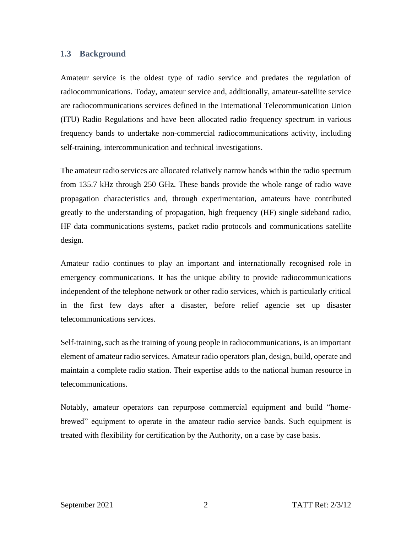#### <span id="page-5-0"></span>**1.3 Background**

Amateur service is the oldest type of radio service and predates the regulation of radiocommunications. Today, amateur service and, additionally, amateur-satellite service are radiocommunications services defined in the International Telecommunication Union (ITU) Radio Regulations and have been allocated radio frequency spectrum in various frequency bands to undertake non-commercial radiocommunications activity, including self-training, intercommunication and technical investigations.

The amateur radio services are allocated relatively narrow bands within the radio spectrum from 135.7 kHz through 250 GHz. These bands provide the whole range of radio wave propagation characteristics and, through experimentation, amateurs have contributed greatly to the understanding of propagation, high frequency (HF) single sideband radio, HF data communications systems, packet radio protocols and communications satellite design.

Amateur radio continues to play an important and internationally recognised role in emergency communications. It has the unique ability to provide radiocommunications independent of the telephone network or other radio services, which is particularly critical in the first few days after a disaster, before relief agencie set up disaster telecommunications services.

Self-training, such as the training of young people in radiocommunications, is an important element of amateur radio services. Amateur radio operators plan, design, build, operate and maintain a complete radio station. Their expertise adds to the national human resource in telecommunications.

Notably, amateur operators can repurpose commercial equipment and build "homebrewed" equipment to operate in the amateur radio service bands. Such equipment is treated with flexibility for certification by the Authority, on a case by case basis.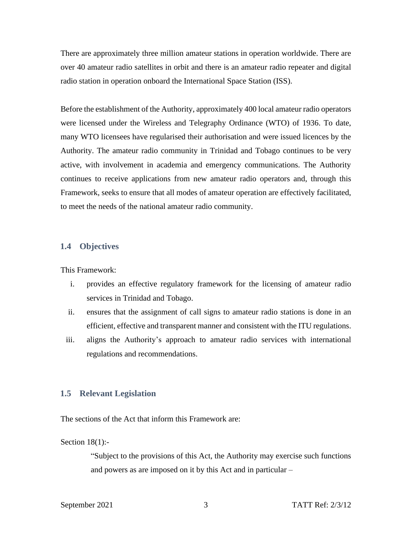There are approximately three million amateur stations in operation worldwide. There are over 40 amateur radio satellites in orbit and there is an amateur radio repeater and digital radio station in operation onboard the International Space Station (ISS).

Before the establishment of the Authority, approximately 400 local amateur radio operators were licensed under the Wireless and Telegraphy Ordinance (WTO) of 1936. To date, many WTO licensees have regularised their authorisation and were issued licences by the Authority. The amateur radio community in Trinidad and Tobago continues to be very active, with involvement in academia and emergency communications. The Authority continues to receive applications from new amateur radio operators and, through this Framework, seeks to ensure that all modes of amateur operation are effectively facilitated, to meet the needs of the national amateur radio community.

#### <span id="page-6-0"></span>**1.4 Objectives**

This Framework:

- i. provides an effective regulatory framework for the licensing of amateur radio services in Trinidad and Tobago.
- ii. ensures that the assignment of call signs to amateur radio stations is done in an efficient, effective and transparent manner and consistent with the ITU regulations.
- iii. aligns the Authority's approach to amateur radio services with international regulations and recommendations.

#### <span id="page-6-1"></span>**1.5 Relevant Legislation**

The sections of the Act that inform this Framework are:

Section 18(1):-

"Subject to the provisions of this Act, the Authority may exercise such functions and powers as are imposed on it by this Act and in particular –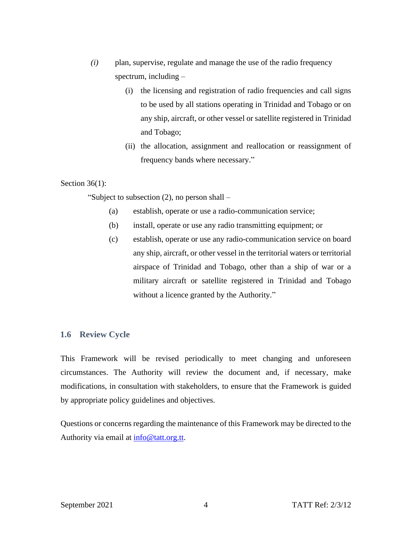- *(i)* plan, supervise, regulate and manage the use of the radio frequency spectrum, including –
	- (i) the licensing and registration of radio frequencies and call signs to be used by all stations operating in Trinidad and Tobago or on any ship, aircraft, or other vessel or satellite registered in Trinidad and Tobago;
	- (ii) the allocation, assignment and reallocation or reassignment of frequency bands where necessary."

#### Section 36(1):

"Subject to subsection (2), no person shall –

- (a) establish, operate or use a radio-communication service;
- (b) install, operate or use any radio transmitting equipment; or
- (c) establish, operate or use any radio-communication service on board any ship, aircraft, or other vessel in the territorial waters or territorial airspace of Trinidad and Tobago, other than a ship of war or a military aircraft or satellite registered in Trinidad and Tobago without a licence granted by the Authority."

#### <span id="page-7-0"></span>**1.6 Review Cycle**

This Framework will be revised periodically to meet changing and unforeseen circumstances. The Authority will review the document and, if necessary, make modifications, in consultation with stakeholders, to ensure that the Framework is guided by appropriate policy guidelines and objectives.

Questions or concerns regarding the maintenance of this Framework may be directed to the Authority via email at [info@tatt.org.tt.](mailto:info@tatt.org.tt)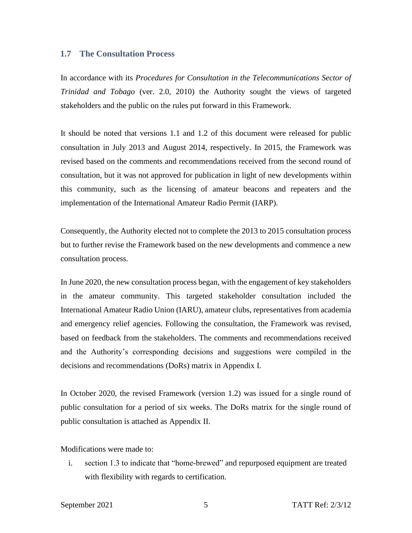#### <span id="page-8-0"></span>**1.7 The Consultation Process**

In accordance with its *Procedures for Consultation in the Telecommunications Sector of Trinidad and Tobago* (ver. 2.0, 2010) the Authority sought the views of targeted stakeholders and the public on the rules put forward in this Framework.

It should be noted that versions 1.1 and 1.2 of this document were released for public consultation in July 2013 and August 2014, respectively. In 2015, the Framework was revised based on the comments and recommendations received from the second round of consultation, but it was not approved for publication in light of new developments within this community, such as the licensing of amateur beacons and repeaters and the implementation of the International Amateur Radio Permit (IARP).

Consequently, the Authority elected not to complete the 2013 to 2015 consultation process but to further revise the Framework based on the new developments and commence a new consultation process.

In June 2020, the new consultation process began, with the engagement of key stakeholders in the amateur community. This targeted stakeholder consultation included the International Amateur Radio Union (IARU), amateur clubs, representatives from academia and emergency relief agencies. Following the consultation, the Framework was revised, based on feedback from the stakeholders. The comments and recommendations received and the Authority's corresponding decisions and suggestions were compiled in the decisions and recommendations (DoRs) matrix in Appendix I.

In October 2020, the revised Framework (version 1.2) was issued for a single round of public consultation for a period of six weeks. The DoRs matrix for the single round of public consultation is attached as Appendix II.

Modifications were made to:

i. section 1.3 to indicate that "home-brewed" and repurposed equipment are treated with flexibility with regards to certification.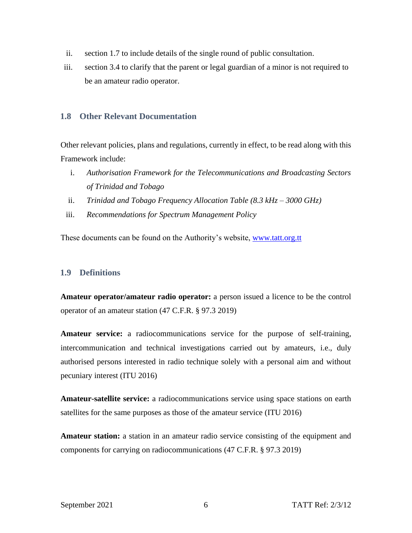- ii. section 1.7 to include details of the single round of public consultation.
- iii. section 3.4 to clarify that the parent or legal guardian of a minor is not required to be an amateur radio operator.

# <span id="page-9-0"></span>**1.8 Other Relevant Documentation**

Other relevant policies, plans and regulations, currently in effect, to be read along with this Framework include:

- i. *Authorisation Framework for the Telecommunications and Broadcasting Sectors of Trinidad and Tobago*
- ii. *Trinidad and Tobago Frequency Allocation Table (8.3 kHz – 3000 GHz)*
- iii. *Recommendations for Spectrum Management Policy*

These documents can be found on the Authority's website, [www.tatt.org.tt](file:///C:/Users/aasimon/Documents/Work/Amateur/www.tatt.org.tt)

# <span id="page-9-1"></span>**1.9 Definitions**

**Amateur operator/amateur radio operator:** a person issued a licence to be the control operator of an amateur station (47 C.F.R. § 97.3 2019)

**Amateur service:** a radiocommunications service for the purpose of self-training, intercommunication and technical investigations carried out by amateurs, i.e., duly authorised persons interested in radio technique solely with a personal aim and without pecuniary interest (ITU 2016)

**Amateur-satellite service:** a radiocommunications service using space stations on earth satellites for the same purposes as those of the amateur service (ITU 2016)

**Amateur station:** a station in an amateur radio service consisting of the equipment and components for carrying on radiocommunications (47 C.F.R. § 97.3 2019)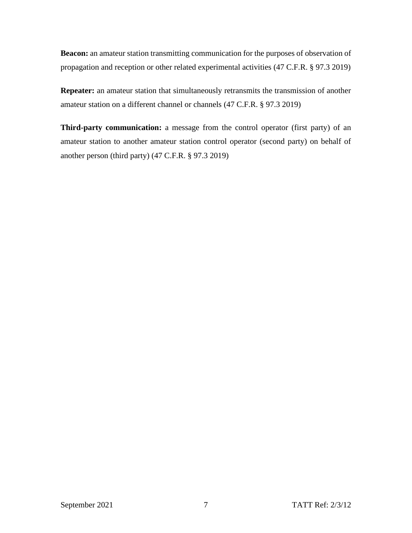**Beacon:** an amateur station transmitting communication for the purposes of observation of propagation and reception or other related experimental activities (47 C.F.R. § 97.3 2019)

**Repeater:** an amateur station that simultaneously retransmits the transmission of another amateur station on a different channel or channels (47 C.F.R. § 97.3 2019)

**Third-party communication:** a message from the control operator (first party) of an amateur station to another amateur station control operator (second party) on behalf of another person (third party) (47 C.F.R. § 97.3 2019)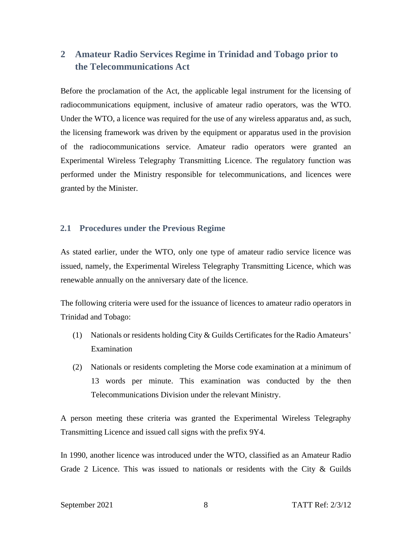# <span id="page-11-0"></span>**2 Amateur Radio Services Regime in Trinidad and Tobago prior to the Telecommunications Act**

Before the proclamation of the Act, the applicable legal instrument for the licensing of radiocommunications equipment, inclusive of amateur radio operators, was the WTO. Under the WTO, a licence was required for the use of any wireless apparatus and, as such, the licensing framework was driven by the equipment or apparatus used in the provision of the radiocommunications service. Amateur radio operators were granted an Experimental Wireless Telegraphy Transmitting Licence. The regulatory function was performed under the Ministry responsible for telecommunications, and licences were granted by the Minister.

#### <span id="page-11-1"></span>**2.1 Procedures under the Previous Regime**

As stated earlier, under the WTO, only one type of amateur radio service licence was issued, namely, the Experimental Wireless Telegraphy Transmitting Licence, which was renewable annually on the anniversary date of the licence.

The following criteria were used for the issuance of licences to amateur radio operators in Trinidad and Tobago:

- (1) Nationals or residents holding City & Guilds Certificates for the Radio Amateurs' Examination
- (2) Nationals or residents completing the Morse code examination at a minimum of 13 words per minute. This examination was conducted by the then Telecommunications Division under the relevant Ministry.

A person meeting these criteria was granted the Experimental Wireless Telegraphy Transmitting Licence and issued call signs with the prefix 9Y4.

In 1990, another licence was introduced under the WTO, classified as an Amateur Radio Grade 2 Licence. This was issued to nationals or residents with the City  $\&$  Guilds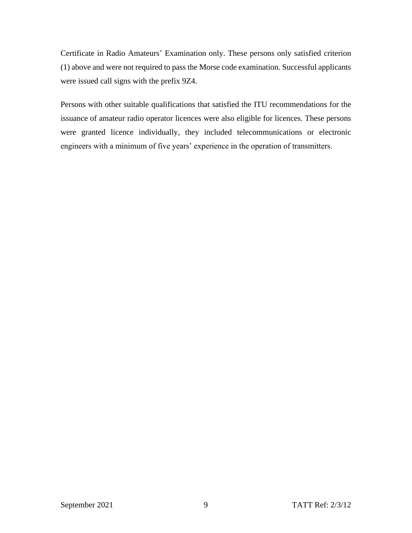Certificate in Radio Amateurs' Examination only. These persons only satisfied criterion (1) above and were not required to pass the Morse code examination. Successful applicants were issued call signs with the prefix 9Z4.

Persons with other suitable qualifications that satisfied the ITU recommendations for the issuance of amateur radio operator licences were also eligible for licences. These persons were granted licence individually, they included telecommunications or electronic engineers with a minimum of five years' experience in the operation of transmitters.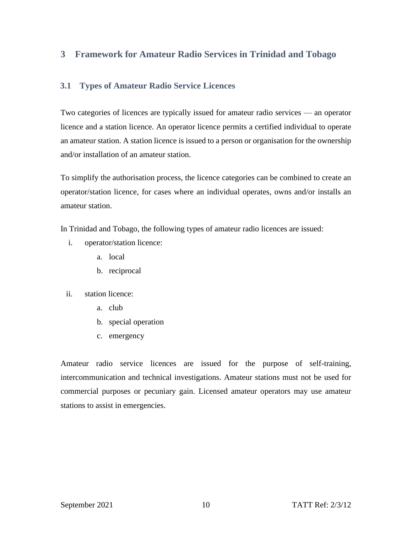# <span id="page-13-0"></span>**3 Framework for Amateur Radio Services in Trinidad and Tobago**

# <span id="page-13-1"></span>**3.1 Types of Amateur Radio Service Licences**

Two categories of licences are typically issued for amateur radio services — an operator licence and a station licence. An operator licence permits a certified individual to operate an amateur station. A station licence is issued to a person or organisation for the ownership and/or installation of an amateur station.

To simplify the authorisation process, the licence categories can be combined to create an operator/station licence, for cases where an individual operates, owns and/or installs an amateur station.

In Trinidad and Tobago, the following types of amateur radio licences are issued:

- i. operator/station licence:
	- a. local
	- b. reciprocal
- ii. station licence:
	- a. club
	- b. special operation
	- c. emergency

Amateur radio service licences are issued for the purpose of self-training, intercommunication and technical investigations. Amateur stations must not be used for commercial purposes or pecuniary gain. Licensed amateur operators may use amateur stations to assist in emergencies.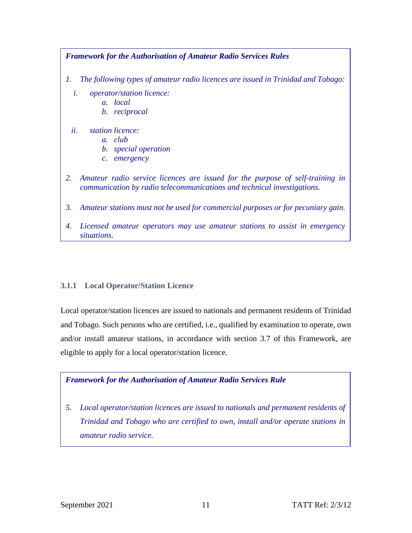

# <span id="page-14-0"></span>**3.1.1 Local Operator/Station Licence**

Local operator/station licences are issued to nationals and permanent residents of Trinidad and Tobago. Such persons who are certified, i.e., qualified by examination to operate, own and/or install amateur stations, in accordance with section 3.7 of this Framework, are eligible to apply for a local operator/station licence.

# *Framework for the Authorisation of Amateur Radio Services Rule*

*5. Local operator/station licences are issued to nationals and permanent residents of Trinidad and Tobago who are certified to own, install and/or operate stations in amateur radio service.*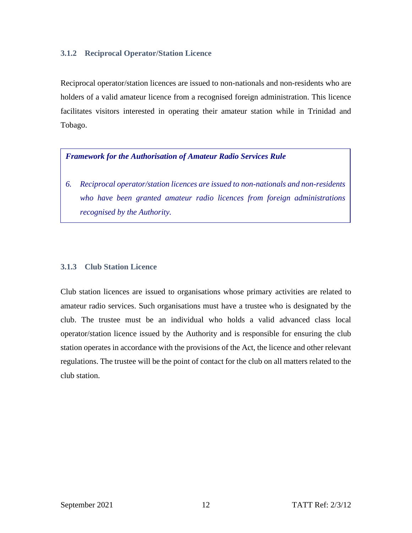#### <span id="page-15-0"></span>**3.1.2 Reciprocal Operator/Station Licence**

Reciprocal operator/station licences are issued to non-nationals and non-residents who are holders of a valid amateur licence from a recognised foreign administration. This licence facilitates visitors interested in operating their amateur station while in Trinidad and Tobago.

#### *Framework for the Authorisation of Amateur Radio Services Rule*

*6. Reciprocal operator/station licences are issued to non-nationals and non-residents who have been granted amateur radio licences from foreign administrations recognised by the Authority.*

#### <span id="page-15-1"></span>**3.1.3 Club Station Licence**

Club station licences are issued to organisations whose primary activities are related to amateur radio services. Such organisations must have a trustee who is designated by the club. The trustee must be an individual who holds a valid advanced class local operator/station licence issued by the Authority and is responsible for ensuring the club station operates in accordance with the provisions of the Act, the licence and other relevant regulations. The trustee will be the point of contact for the club on all matters related to the club station.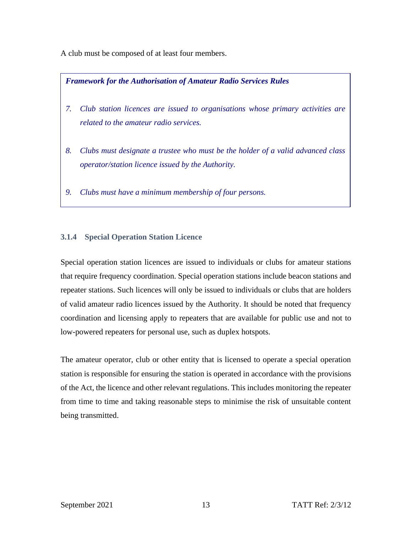A club must be composed of at least four members.

# *Framework for the Authorisation of Amateur Radio Services Rules*

- *7. Club station licences are issued to organisations whose primary activities are related to the amateur radio services.*
- *8. Clubs must designate a trustee who must be the holder of a valid advanced class operator/station licence issued by the Authority.*
- *9. Clubs must have a minimum membership of four persons.*

# <span id="page-16-0"></span>**3.1.4 Special Operation Station Licence**

Special operation station licences are issued to individuals or clubs for amateur stations that require frequency coordination. Special operation stations include beacon stations and repeater stations. Such licences will only be issued to individuals or clubs that are holders of valid amateur radio licences issued by the Authority. It should be noted that frequency coordination and licensing apply to repeaters that are available for public use and not to low-powered repeaters for personal use, such as duplex hotspots.

The amateur operator, club or other entity that is licensed to operate a special operation station is responsible for ensuring the station is operated in accordance with the provisions of the Act, the licence and other relevant regulations. This includes monitoring the repeater from time to time and taking reasonable steps to minimise the risk of unsuitable content being transmitted.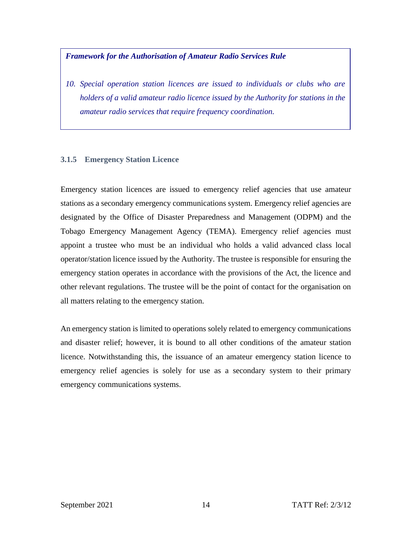#### *Framework for the Authorisation of Amateur Radio Services Rule*

*10. Special operation station licences are issued to individuals or clubs who are holders of a valid amateur radio licence issued by the Authority for stations in the amateur radio services that require frequency coordination.*

#### <span id="page-17-0"></span>**3.1.5 Emergency Station Licence**

Emergency station licences are issued to emergency relief agencies that use amateur stations as a secondary emergency communications system. Emergency relief agencies are designated by the Office of Disaster Preparedness and Management (ODPM) and the Tobago Emergency Management Agency (TEMA). Emergency relief agencies must appoint a trustee who must be an individual who holds a valid advanced class local operator/station licence issued by the Authority. The trustee is responsible for ensuring the emergency station operates in accordance with the provisions of the Act, the licence and other relevant regulations. The trustee will be the point of contact for the organisation on all matters relating to the emergency station.

An emergency station is limited to operations solely related to emergency communications and disaster relief; however, it is bound to all other conditions of the amateur station licence. Notwithstanding this, the issuance of an amateur emergency station licence to emergency relief agencies is solely for use as a secondary system to their primary emergency communications systems.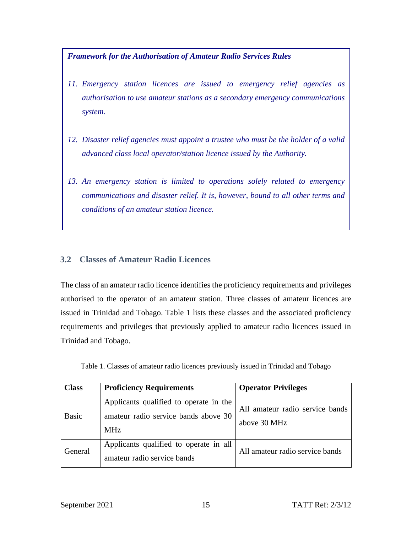*Framework for the Authorisation of Amateur Radio Services Rules*

- *11. Emergency station licences are issued to emergency relief agencies as authorisation to use amateur stations as a secondary emergency communications system.*
- *12. Disaster relief agencies must appoint a trustee who must be the holder of a valid advanced class local operator/station licence issued by the Authority.*
- *13. An emergency station is limited to operations solely related to emergency communications and disaster relief. It is, however, bound to all other terms and conditions of an amateur station licence.*

# <span id="page-18-0"></span>**3.2 Classes of Amateur Radio Licences**

The class of an amateur radio licence identifies the proficiency requirements and privileges authorised to the operator of an amateur station. Three classes of amateur licences are issued in Trinidad and Tobago. Table 1 lists these classes and the associated proficiency requirements and privileges that previously applied to amateur radio licences issued in Trinidad and Tobago.

<span id="page-18-1"></span>

| <b>Class</b> | <b>Proficiency Requirements</b>                                                              | <b>Operator Privileges</b>                      |
|--------------|----------------------------------------------------------------------------------------------|-------------------------------------------------|
| <b>Basic</b> | Applicants qualified to operate in the<br>amateur radio service bands above 30<br><b>MHz</b> | All amateur radio service bands<br>above 30 MHz |
| General      | Applicants qualified to operate in all<br>amateur radio service bands                        | All amateur radio service bands                 |

Table 1. Classes of amateur radio licences previously issued in Trinidad and Tobago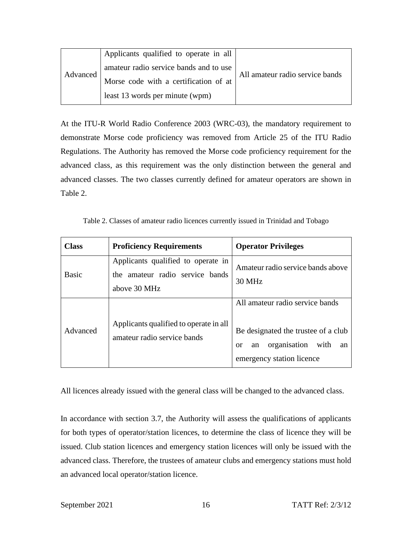| Advanced | Applicants qualified to operate in all |                                 |
|----------|----------------------------------------|---------------------------------|
|          | amateur radio service bands and to use |                                 |
|          | Morse code with a certification of at  | All amateur radio service bands |
|          | least 13 words per minute (wpm)        |                                 |

At the ITU-R World Radio Conference 2003 (WRC-03), the mandatory requirement to demonstrate Morse code proficiency was removed from Article 25 of the ITU Radio Regulations. The Authority has removed the Morse code proficiency requirement for the advanced class, as this requirement was the only distinction between the general and advanced classes. The two classes currently defined for amateur operators are shown in Table 2.

Table 2. Classes of amateur radio licences currently issued in Trinidad and Tobago

<span id="page-19-0"></span>

| <b>Class</b> | <b>Proficiency Requirements</b>                                                       | <b>Operator Privileges</b>                                                                                                                               |
|--------------|---------------------------------------------------------------------------------------|----------------------------------------------------------------------------------------------------------------------------------------------------------|
| Basic        | Applicants qualified to operate in<br>the amateur radio service bands<br>above 30 MHz | Amateur radio service bands above<br>30 MHz                                                                                                              |
| Advanced     | Applicants qualified to operate in all<br>amateur radio service bands                 | All amateur radio service bands<br>Be designated the trustee of a club<br>organisation<br>with<br>an<br>an<br><sub>or</sub><br>emergency station licence |

All licences already issued with the general class will be changed to the advanced class.

In accordance with section 3.7, the Authority will assess the qualifications of applicants for both types of operator/station licences, to determine the class of licence they will be issued. Club station licences and emergency station licences will only be issued with the advanced class. Therefore, the trustees of amateur clubs and emergency stations must hold an advanced local operator/station licence.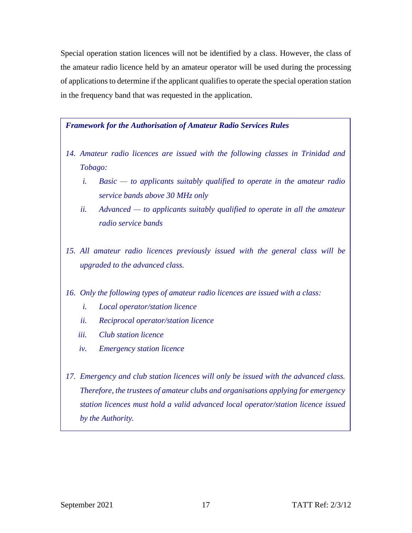Special operation station licences will not be identified by a class. However, the class of the amateur radio licence held by an amateur operator will be used during the processing of applications to determine if the applicant qualifies to operate the special operation station in the frequency band that was requested in the application.

#### *Framework for the Authorisation of Amateur Radio Services Rules*

- *14. Amateur radio licences are issued with the following classes in Trinidad and Tobago:*
	- *i. Basic — to applicants suitably qualified to operate in the amateur radio service bands above 30 MHz only*
	- *ii. Advanced — to applicants suitably qualified to operate in all the amateur radio service bands*
- *15. All amateur radio licences previously issued with the general class will be upgraded to the advanced class.*

#### *16. Only the following types of amateur radio licences are issued with a class:*

- *i. Local operator/station licence*
- *ii. Reciprocal operator/station licence*
- *iii. Club station licence*
- *iv. Emergency station licence*
- *17. Emergency and club station licences will only be issued with the advanced class. Therefore, the trustees of amateur clubs and organisations applying for emergency station licences must hold a valid advanced local operator/station licence issued by the Authority.*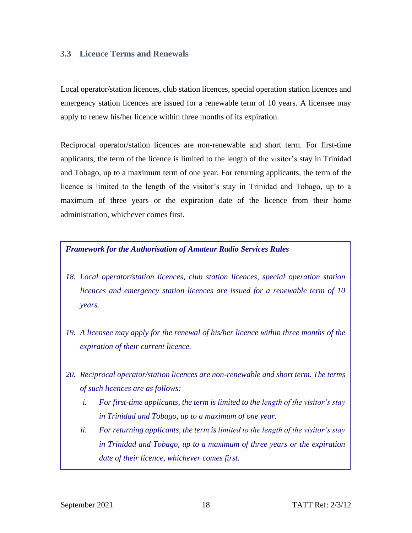# <span id="page-21-0"></span>**3.3 Licence Terms and Renewals**

Local operator/station licences, club station licences, special operation station licences and emergency station licences are issued for a renewable term of 10 years. A licensee may apply to renew his/her licence within three months of its expiration.

Reciprocal operator/station licences are non-renewable and short term. For first-time applicants, the term of the licence is limited to the length of the visitor's stay in Trinidad and Tobago, up to a maximum term of one year. For returning applicants, the term of the licence is limited to the length of the visitor's stay in Trinidad and Tobago, up to a maximum of three years or the expiration date of the licence from their home administration, whichever comes first.

#### *Framework for the Authorisation of Amateur Radio Services Rules*

- *18. Local operator/station licences, club station licences, special operation station licences and emergency station licences are issued for a renewable term of 10 years.*
- *19. A licensee may apply for the renewal of his/her licence within three months of the expiration of their current licence.*
- *20. Reciprocal operator/station licences are non-renewable and short term. The terms of such licences are as follows:*
	- *i. For first-time applicants, the term is limited to the length of the visitor's stay in Trinidad and Tobago, up to a maximum of one year.*
	- *ii. For returning applicants, the term is limited to the length of the visitor's stay in Trinidad and Tobago, up to a maximum of three years or the expiration date of their licence, whichever comes first.*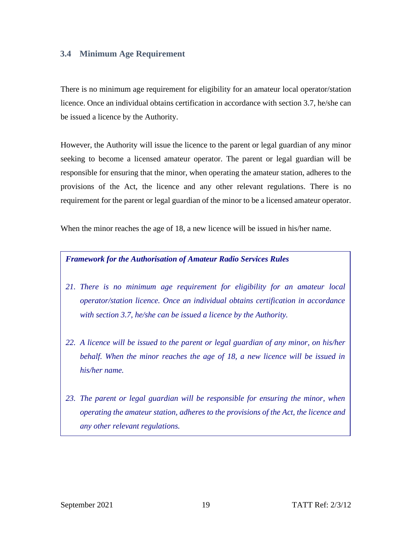# <span id="page-22-0"></span>**3.4 Minimum Age Requirement**

There is no minimum age requirement for eligibility for an amateur local operator/station licence. Once an individual obtains certification in accordance with section 3.7, he/she can be issued a licence by the Authority.

However, the Authority will issue the licence to the parent or legal guardian of any minor seeking to become a licensed amateur operator. The parent or legal guardian will be responsible for ensuring that the minor, when operating the amateur station, adheres to the provisions of the Act, the licence and any other relevant regulations. There is no requirement for the parent or legal guardian of the minor to be a licensed amateur operator.

When the minor reaches the age of 18, a new licence will be issued in his/her name.

#### *Framework for the Authorisation of Amateur Radio Services Rules*

- *21. There is no minimum age requirement for eligibility for an amateur local operator/station licence. Once an individual obtains certification in accordance with section 3.7, he/she can be issued a licence by the Authority.*
- *22. A licence will be issued to the parent or legal guardian of any minor, on his/her behalf. When the minor reaches the age of 18, a new licence will be issued in his/her name.*
- *23. The parent or legal guardian will be responsible for ensuring the minor, when operating the amateur station, adheres to the provisions of the Act, the licence and any other relevant regulations.*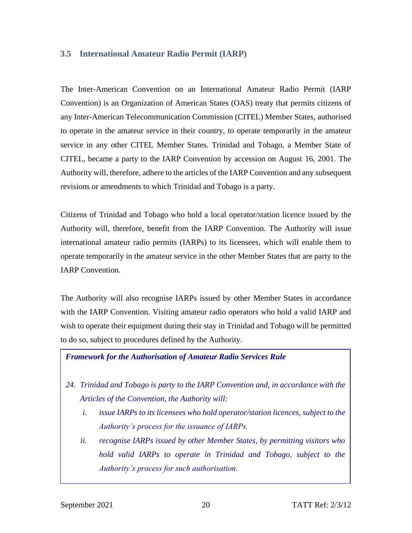#### <span id="page-23-0"></span>**3.5 International Amateur Radio Permit (IARP)**

The Inter-American Convention on an International Amateur Radio Permit (IARP Convention) is an Organization of American States (OAS) treaty that permits citizens of any Inter-American Telecommunication Commission (CITEL) Member States, authorised to operate in the amateur service in their country, to operate temporarily in the amateur service in any other CITEL Member States. Trinidad and Tobago, a Member State of CITEL, became a party to the IARP Convention by accession on August 16, 2001. The Authority will, therefore, adhere to the articles of the IARP Convention and any subsequent revisions or amendments to which Trinidad and Tobago is a party.

Citizens of Trinidad and Tobago who hold a local operator/station licence issued by the Authority will, therefore, benefit from the IARP Convention. The Authority will issue international amateur radio permits (IARPs) to its licensees, which will enable them to operate temporarily in the amateur service in the other Member States that are party to the IARP Convention.

The Authority will also recognise IARPs issued by other Member States in accordance with the IARP Convention. Visiting amateur radio operators who hold a valid IARP and wish to operate their equipment during their stay in Trinidad and Tobago will be permitted to do so, subject to procedures defined by the Authority.

#### *Framework for the Authorisation of Amateur Radio Services Rule*

- *24. Trinidad and Tobago is party to the IARP Convention and, in accordance with the Articles of the Convention, the Authority will:*
	- *i. issue IARPs to its licensees who hold operator/station licences, subject to the Authority's process for the issuance of IARPs.*
	- *ii. recognise IARPs issued by other Member States, by permitting visitors who hold valid IARPs to operate in Trinidad and Tobago, subject to the Authority's process for such authorisation.*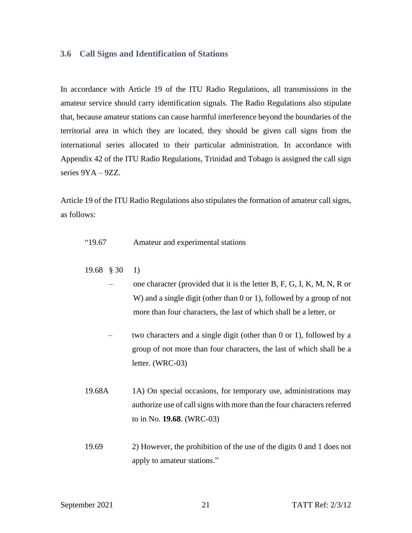#### <span id="page-24-0"></span>**3.6 Call Signs and Identification of Stations**

In accordance with Article 19 of the ITU Radio Regulations, all transmissions in the amateur service should carry identification signals. The Radio Regulations also stipulate that, because amateur stations can cause harmful interference beyond the boundaries of the territorial area in which they are located, they should be given call signs from the international series allocated to their particular administration. In accordance with Appendix 42 of the ITU Radio Regulations, Trinidad and Tobago is assigned the call sign series 9YA – 9ZZ.

Article 19 of the ITU Radio Regulations also stipulates the formation of amateur call signs, as follows:

- "19.67 Amateur and experimental stations
- 19.68 § 30 1)
	- one character (provided that it is the letter B, F, G, I, K, M, N, R or W) and a single digit (other than 0 or 1), followed by a group of not more than four characters, the last of which shall be a letter, or
	- two characters and a single digit (other than 0 or 1), followed by a group of not more than four characters, the last of which shall be a letter. (WRC-03)
- 19.68A 1A) On special occasions, for temporary use, administrations may authorize use of call signs with more than the four characters referred to in No. **19.68**. (WRC-03)
- 19.69 2) However, the prohibition of the use of the digits 0 and 1 does not apply to amateur stations."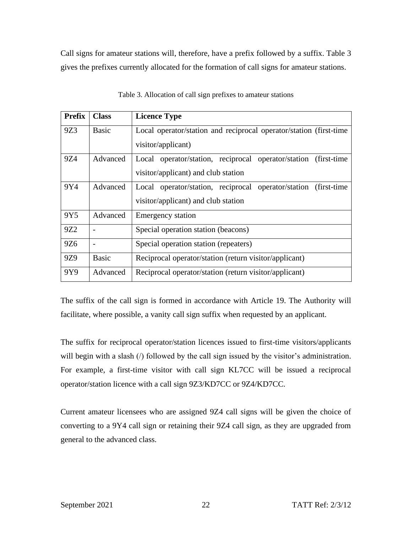Call signs for amateur stations will, therefore, have a prefix followed by a suffix. Table 3 gives the prefixes currently allocated for the formation of call signs for amateur stations.

<span id="page-25-0"></span>

| <b>Prefix</b>   | <b>Class</b> | <b>Licence Type</b>                                                |  |
|-----------------|--------------|--------------------------------------------------------------------|--|
| 9Z3             | <b>Basic</b> | Local operator/station and reciprocal operator/station (first-time |  |
|                 |              | visitor/applicant)                                                 |  |
| 9Z4             | Advanced     | Local operator/station, reciprocal operator/station (first-time)   |  |
|                 |              | visitor/applicant) and club station                                |  |
| 9Y4             | Advanced     | Local operator/station, reciprocal operator/station (first-time)   |  |
|                 |              | visitor/applicant) and club station                                |  |
| 9Y5             | Advanced     | <b>Emergency station</b>                                           |  |
| 9Z <sub>2</sub> |              | Special operation station (beacons)                                |  |
| 9Z6             |              | Special operation station (repeaters)                              |  |
| 9Z9             | <b>Basic</b> | Reciprocal operator/station (return visitor/applicant)             |  |
| 9Y9             | Advanced     | Reciprocal operator/station (return visitor/applicant)             |  |

Table 3. Allocation of call sign prefixes to amateur stations

The suffix of the call sign is formed in accordance with Article 19. The Authority will facilitate, where possible, a vanity call sign suffix when requested by an applicant.

The suffix for reciprocal operator/station licences issued to first-time visitors/applicants will begin with a slash (*/*) followed by the call sign issued by the visitor's administration. For example, a first-time visitor with call sign KL7CC will be issued a reciprocal operator/station licence with a call sign 9Z3/KD7CC or 9Z4/KD7CC.

Current amateur licensees who are assigned 9Z4 call signs will be given the choice of converting to a 9Y4 call sign or retaining their 9Z4 call sign, as they are upgraded from general to the advanced class.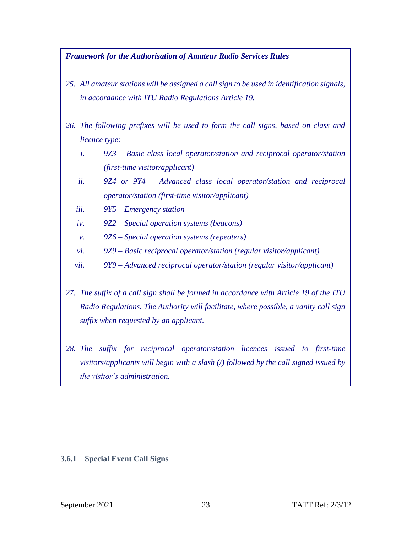#### *Framework for the Authorisation of Amateur Radio Services Rules*

- *25. All amateur stations will be assigned a call sign to be used in identification signals, in accordance with ITU Radio Regulations Article 19.*
- *26. The following prefixes will be used to form the call signs, based on class and licence type:*
	- *i. 9Z3 – Basic class local operator/station and reciprocal operator/station (first-time visitor/applicant)*
	- *ii. 9Z4 or 9Y4 – Advanced class local operator/station and reciprocal operator/station (first-time visitor/applicant)*
	- *iii. 9Y5 – Emergency station*
	- *iv. 9Z2 – Special operation systems (beacons)*
	- *v. 9Z6 – Special operation systems (repeaters)*
	- *vi. 9Z9 – Basic reciprocal operator/station (regular visitor/applicant)*
	- *vii. 9Y9 – Advanced reciprocal operator/station (regular visitor/applicant)*
- *27. The suffix of a call sign shall be formed in accordance with Article 19 of the ITU Radio Regulations. The Authority will facilitate, where possible, a vanity call sign suffix when requested by an applicant.*
- *28. The suffix for reciprocal operator/station licences issued to first-time visitors/applicants will begin with a slash (/) followed by the call signed issued by the visitor's administration.*

#### <span id="page-26-0"></span>**3.6.1 Special Event Call Signs**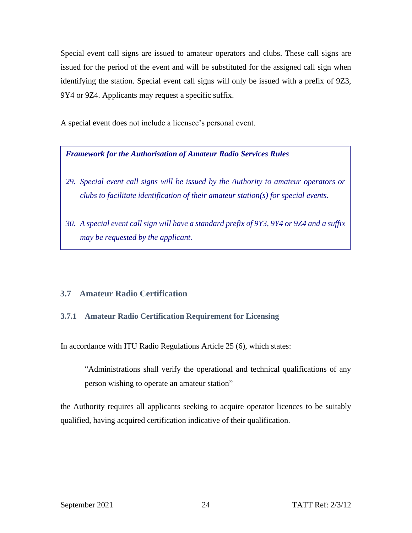Special event call signs are issued to amateur operators and clubs. These call signs are issued for the period of the event and will be substituted for the assigned call sign when identifying the station. Special event call signs will only be issued with a prefix of 9Z3, 9Y4 or 9Z4. Applicants may request a specific suffix.

A special event does not include a licensee's personal event.

*Framework for the Authorisation of Amateur Radio Services Rules*

- *29. Special event call signs will be issued by the Authority to amateur operators or clubs to facilitate identification of their amateur station(s) for special events.*
- *30. A special event call sign will have a standard prefix of 9Y3, 9Y4 or 9Z4 and a suffix may be requested by the applicant.*

# <span id="page-27-0"></span>**3.7 Amateur Radio Certification**

# <span id="page-27-1"></span>**3.7.1 Amateur Radio Certification Requirement for Licensing**

In accordance with ITU Radio Regulations Article 25 (6), which states:

"Administrations shall verify the operational and technical qualifications of any person wishing to operate an amateur station"

the Authority requires all applicants seeking to acquire operator licences to be suitably qualified, having acquired certification indicative of their qualification.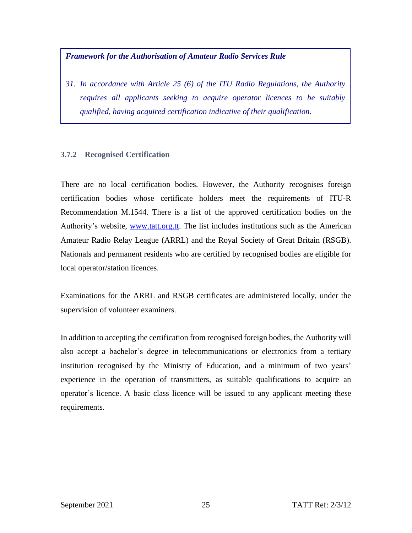#### *Framework for the Authorisation of Amateur Radio Services Rule*

*31. In accordance with Article 25 (6) of the ITU Radio Regulations, the Authority requires all applicants seeking to acquire operator licences to be suitably qualified, having acquired certification indicative of their qualification.* 

#### <span id="page-28-0"></span>**3.7.2 Recognised Certification**

There are no local certification bodies. However, the Authority recognises foreign certification bodies whose certificate holders meet the requirements of ITU-R Recommendation M.1544. There is a list of the approved certification bodies on the Authority's website, [www.tatt.org.tt.](http://www.tatt.org.tt/) The list includes institutions such as the American Amateur Radio Relay League (ARRL) and the Royal Society of Great Britain (RSGB). Nationals and permanent residents who are certified by recognised bodies are eligible for local operator/station licences.

Examinations for the ARRL and RSGB certificates are administered locally, under the supervision of volunteer examiners.

In addition to accepting the certification from recognised foreign bodies, the Authority will also accept a bachelor's degree in telecommunications or electronics from a tertiary institution recognised by the Ministry of Education, and a minimum of two years' experience in the operation of transmitters, as suitable qualifications to acquire an operator's licence. A basic class licence will be issued to any applicant meeting these requirements.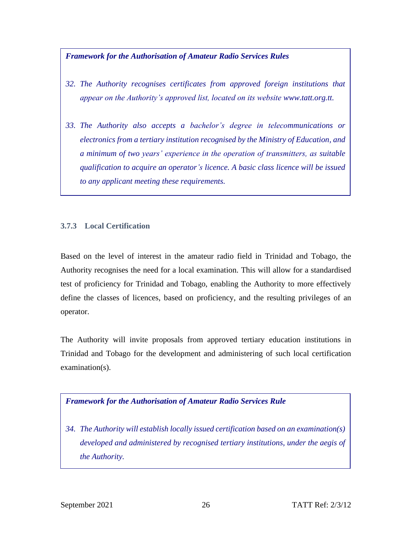# *Framework for the Authorisation of Amateur Radio Services Rules*

- *32. The Authority recognises certificates from approved foreign institutions that appear on the Authority's approved list, located on its website [www.tatt.org.tt.](http://www.tatt.org.tt/)*
- *33. The Authority also accepts a bachelor's degree in telecommunications or electronics from a tertiary institution recognised by the Ministry of Education, and a minimum of two years' experience in the operation of transmitters, as suitable qualification to acquire an operator's licence. A basic class licence will be issued to any applicant meeting these requirements.*

# <span id="page-29-0"></span>**3.7.3 Local Certification**

Based on the level of interest in the amateur radio field in Trinidad and Tobago, the Authority recognises the need for a local examination. This will allow for a standardised test of proficiency for Trinidad and Tobago, enabling the Authority to more effectively define the classes of licences, based on proficiency, and the resulting privileges of an operator.

The Authority will invite proposals from approved tertiary education institutions in Trinidad and Tobago for the development and administering of such local certification examination(s).

# *Framework for the Authorisation of Amateur Radio Services Rule*

*34. The Authority will establish locally issued certification based on an examination(s) developed and administered by recognised tertiary institutions, under the aegis of the Authority.*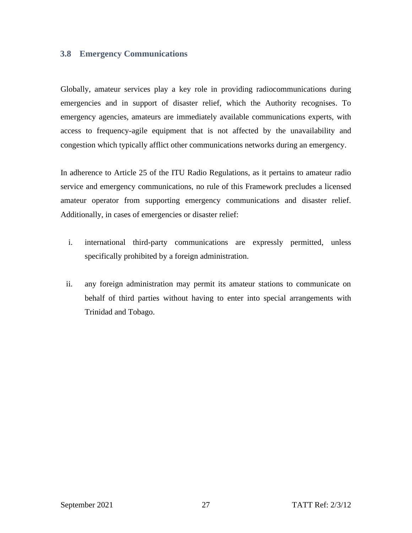# <span id="page-30-0"></span>**3.8 Emergency Communications**

Globally, amateur services play a key role in providing radiocommunications during emergencies and in support of disaster relief, which the Authority recognises. To emergency agencies, amateurs are immediately available communications experts, with access to frequency-agile equipment that is not affected by the unavailability and congestion which typically afflict other communications networks during an emergency.

In adherence to Article 25 of the ITU Radio Regulations, as it pertains to amateur radio service and emergency communications, no rule of this Framework precludes a licensed amateur operator from supporting emergency communications and disaster relief. Additionally, in cases of emergencies or disaster relief:

- i. international third-party communications are expressly permitted, unless specifically prohibited by a foreign administration.
- ii. any foreign administration may permit its amateur stations to communicate on behalf of third parties without having to enter into special arrangements with Trinidad and Tobago.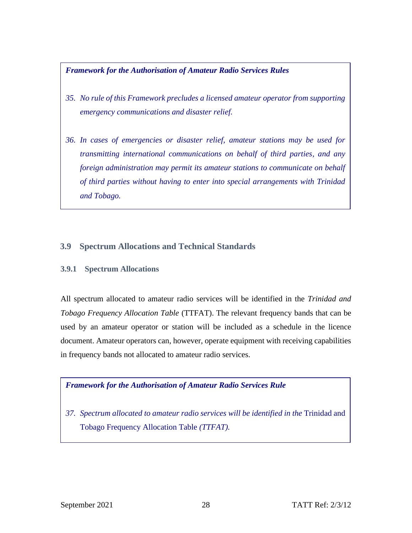*Framework for the Authorisation of Amateur Radio Services Rules*

- *35. No rule of this Framework precludes a licensed amateur operator from supporting emergency communications and disaster relief.*
- *36. In cases of emergencies or disaster relief, amateur stations may be used for transmitting international communications on behalf of third parties, and any foreign administration may permit its amateur stations to communicate on behalf of third parties without having to enter into special arrangements with Trinidad and Tobago.*

# <span id="page-31-0"></span>**3.9 Spectrum Allocations and Technical Standards**

#### <span id="page-31-1"></span>**3.9.1 Spectrum Allocations**

All spectrum allocated to amateur radio services will be identified in the *Trinidad and Tobago Frequency Allocation Table* (TTFAT). The relevant frequency bands that can be used by an amateur operator or station will be included as a schedule in the licence document. Amateur operators can, however, operate equipment with receiving capabilities in frequency bands not allocated to amateur radio services.

# *Framework for the Authorisation of Amateur Radio Services Rule*

*37. Spectrum allocated to amateur radio services will be identified in the* Trinidad and Tobago Frequency Allocation Table *(TTFAT).*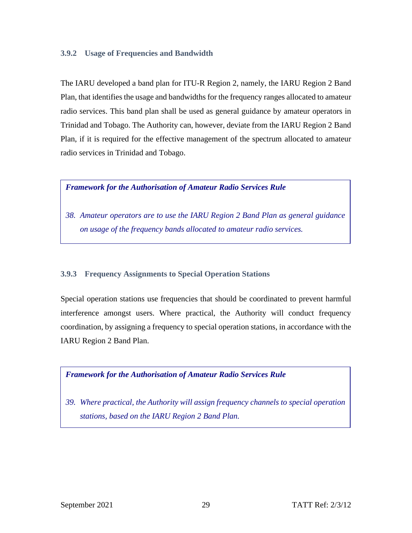#### <span id="page-32-0"></span>**3.9.2 Usage of Frequencies and Bandwidth**

The IARU developed a band plan for ITU-R Region 2, namely, the IARU Region 2 Band Plan, that identifies the usage and bandwidths for the frequency ranges allocated to amateur radio services. This band plan shall be used as general guidance by amateur operators in Trinidad and Tobago. The Authority can, however, deviate from the IARU Region 2 Band Plan, if it is required for the effective management of the spectrum allocated to amateur radio services in Trinidad and Tobago.

#### *Framework for the Authorisation of Amateur Radio Services Rule*

*38. Amateur operators are to use the IARU Region 2 Band Plan as general guidance on usage of the frequency bands allocated to amateur radio services.*

# <span id="page-32-1"></span>**3.9.3 Frequency Assignments to Special Operation Stations**

Special operation stations use frequencies that should be coordinated to prevent harmful interference amongst users. Where practical, the Authority will conduct frequency coordination, by assigning a frequency to special operation stations, in accordance with the IARU Region 2 Band Plan.



*39. Where practical, the Authority will assign frequency channels to special operation stations, based on the IARU Region 2 Band Plan.*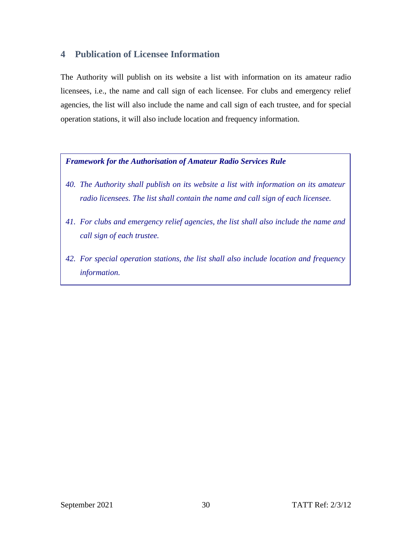# <span id="page-33-0"></span>**4 Publication of Licensee Information**

The Authority will publish on its website a list with information on its amateur radio licensees, i.e., the name and call sign of each licensee. For clubs and emergency relief agencies, the list will also include the name and call sign of each trustee, and for special operation stations, it will also include location and frequency information.

#### *Framework for the Authorisation of Amateur Radio Services Rule*

- *40. The Authority shall publish on its website a list with information on its amateur radio licensees. The list shall contain the name and call sign of each licensee.*
- *41. For clubs and emergency relief agencies, the list shall also include the name and call sign of each trustee.*
- *42. For special operation stations, the list shall also include location and frequency information.*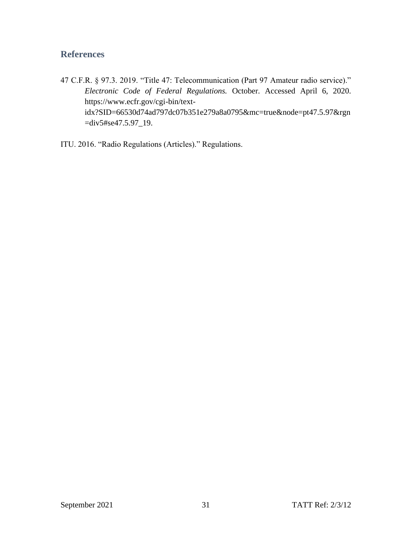# <span id="page-34-0"></span>**References**

- 47 C.F.R. § 97.3. 2019. "Title 47: Telecommunication (Part 97 Amateur radio service)." *Electronic Code of Federal Regulations.* October. Accessed April 6, 2020. https://www.ecfr.gov/cgi-bin/textidx?SID=66530d74ad797dc07b351e279a8a0795&mc=true&node=pt47.5.97&rgn =div5#se47.5.97\_19.
- ITU. 2016. "Radio Regulations (Articles)." Regulations.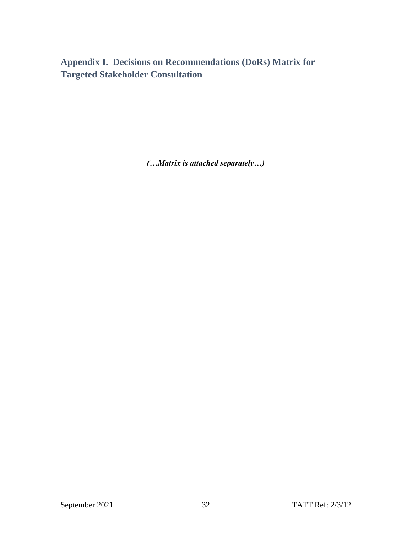<span id="page-35-0"></span>**Appendix I. Decisions on Recommendations (DoRs) Matrix for Targeted Stakeholder Consultation**

*(…Matrix is attached separately…)*